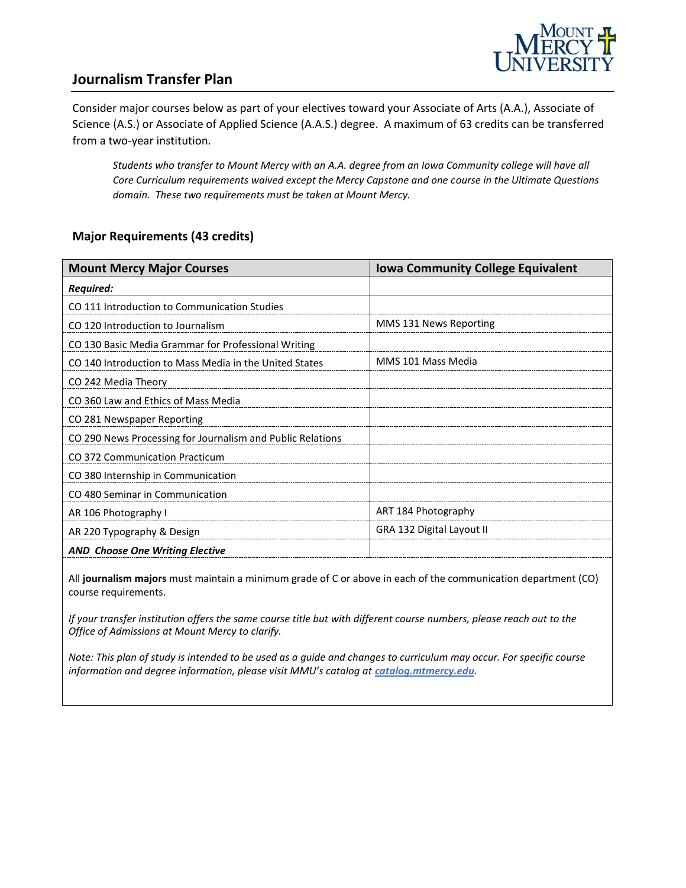

### **Journalism Transfer Plan**

Consider major courses below as part of your electives toward your Associate of Arts (A.A.), Associate of Science (A.S.) or Associate of Applied Science (A.A.S.) degree. A maximum of 63 credits can be transferred from a two-year institution.

*Students who transfer to Mount Mercy with an A.A. degree from an Iowa Community college will have all Core Curriculum requirements waived except the Mercy Capstone and one course in the Ultimate Questions domain. These two requirements must be taken at Mount Mercy.* 

#### **Major Requirements (43 credits)**

| <b>Mount Mercy Major Courses</b>                           | <b>Iowa Community College Equivalent</b> |
|------------------------------------------------------------|------------------------------------------|
| <b>Required:</b>                                           |                                          |
| CO 111 Introduction to Communication Studies               |                                          |
| CO 120 Introduction to Journalism                          | MMS 131 News Reporting                   |
| CO 130 Basic Media Grammar for Professional Writing        |                                          |
| CO 140 Introduction to Mass Media in the United States     | MMS 101 Mass Media                       |
| CO 242 Media Theory                                        |                                          |
| CO 360 Law and Ethics of Mass Media                        |                                          |
| CO 281 Newspaper Reporting                                 |                                          |
| CO 290 News Processing for Journalism and Public Relations |                                          |
| CO 372 Communication Practicum                             |                                          |
| CO 380 Internship in Communication                         |                                          |
| CO 480 Seminar in Communication                            |                                          |
| AR 106 Photography I                                       | ART 184 Photography                      |
| AR 220 Typography & Design                                 | GRA 132 Digital Layout II                |
| <b>AND Choose One Writing Elective</b>                     |                                          |

All **journalism majors** must maintain a minimum grade of C or above in each of the communication department (CO) course requirements.

*If your transfer institution offers the same course title but with different course numbers, please reach out to the Office of Admissions at Mount Mercy to clarify.*

*Note: This plan of study is intended to be used as a guide and changes to curriculum may occur. For specific course information and degree information, please visit MMU's catalog at catalog.mtmercy.edu.*